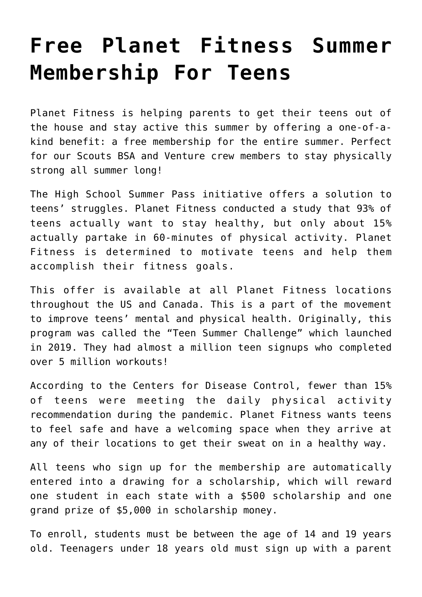## **[Free Planet Fitness Summer](https://www.mayflowerbsa.org/free-planet-fitness-summer-membership-for-teens/) [Membership For Teens](https://www.mayflowerbsa.org/free-planet-fitness-summer-membership-for-teens/)**

Planet Fitness is helping parents to get their teens out of the house and stay active this summer by offering a one-of-akind benefit: a free membership for the entire summer. Perfect for our Scouts BSA and Venture crew members to stay physically strong all summer long!

The [High School Summer Pass](https://www.planetfitness.com/summerpass) initiative offers a solution to teens' struggles. Planet Fitness conducted a study that 93% of teens actually want to stay healthy, but only about 15% actually partake in 60-minutes of physical activity. Planet Fitness is determined to motivate teens and help them accomplish their fitness goals.

This offer is available at all Planet Fitness locations throughout the US and Canada. This is a part of the movement to improve teens' mental and physical health. Originally, this program was called the "Teen Summer Challenge" which launched in 2019. They had almost a million teen signups who completed over 5 million workouts!

According to the Centers for Disease Control, fewer than 15% of teens were meeting the daily physical activity recommendation during the pandemic. Planet Fitness wants teens to feel safe and have a welcoming space when they arrive at any of their locations to get their sweat on in a healthy way.

All teens who sign up for the membership are automatically entered into a drawing for a scholarship, which will reward one student in each state with a \$500 scholarship and one grand prize of \$5,000 in scholarship money.

To enroll, students must be between the age of 14 and 19 years old. Teenagers under 18 years old must sign up with a parent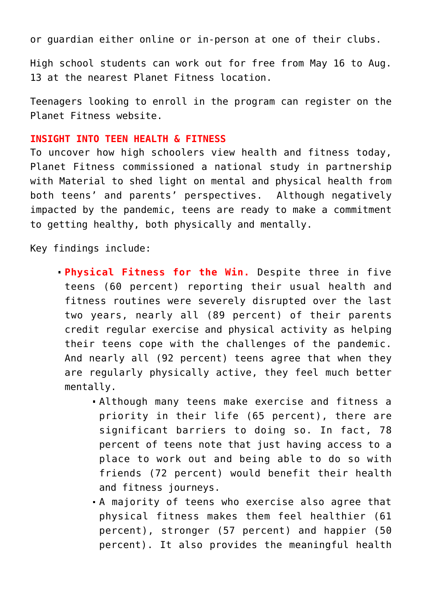or guardian either online or in-person at one of their clubs.

High school students can work out for free from May 16 to Aug. 13 at the nearest Planet Fitness location.

Teenagers looking to enroll in the program can register on the [Planet Fitness website](http://PlanetFitness.com/SummerPass).

## **INSIGHT INTO TEEN HEALTH & FITNESS**

To uncover how high schoolers view health and fitness today, Planet Fitness commissioned a national study in partnership with Material to shed light on mental and physical health from both teens' and parents' perspectives. Although negatively impacted by the pandemic, teens are ready to make a commitment to getting healthy, both physically and mentally.

Key findings include:

- **Physical Fitness for the Win.** Despite three in five teens (60 percent) reporting their usual health and fitness routines were severely disrupted over the last two years, nearly all (89 percent) of their parents credit regular exercise and physical activity as helping their teens cope with the challenges of the pandemic. And nearly all (92 percent) teens agree that when they are regularly physically active, they feel much better mentally.
	- Although many teens make exercise and fitness a priority in their life (65 percent), there are significant barriers to doing so. In fact, 78 percent of teens note that just having access to a place to work out and being able to do so with friends (72 percent) would benefit their health and fitness journeys.
	- A majority of teens who exercise also agree that physical fitness makes them feel healthier (61 percent), stronger (57 percent) and happier (50 percent). It also provides the meaningful health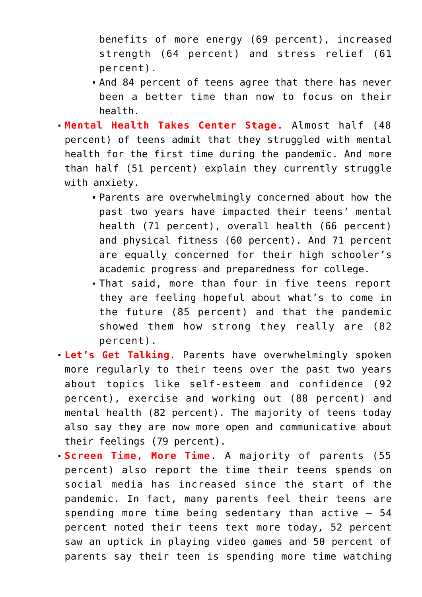benefits of more energy (69 percent), increased strength (64 percent) and stress relief (61 percent).

- And 84 percent of teens agree that there has never been a better time than now to focus on their health.
- **Mental Health Takes Center Stage.** Almost half (48 percent) of teens admit that they struggled with mental health for the first time during the pandemic. And more than half (51 percent) explain they currently struggle with anxiety.
	- Parents are overwhelmingly concerned about how the past two years have impacted their teens' mental health (71 percent), overall health (66 percent) and physical fitness (60 percent). And 71 percent are equally concerned for their high schooler's academic progress and preparedness for college.
	- That said, more than four in five teens report they are feeling hopeful about what's to come in the future (85 percent) and that the pandemic showed them how strong they really are (82 percent).
- **Let's Get Talking**. Parents have overwhelmingly spoken more regularly to their teens over the past two years about topics like self-esteem and confidence (92 percent), exercise and working out (88 percent) and mental health (82 percent). The majority of teens today also say they are now more open and communicative about their feelings (79 percent).
- **Screen Time, More Time**. A majority of parents (55 percent) also report the time their teens spends on social media has increased since the start of the pandemic. In fact, many parents feel their teens are spending more time being sedentary than active – 54 percent noted their teens text more today, 52 percent saw an uptick in playing video games and 50 percent of parents say their teen is spending more time watching